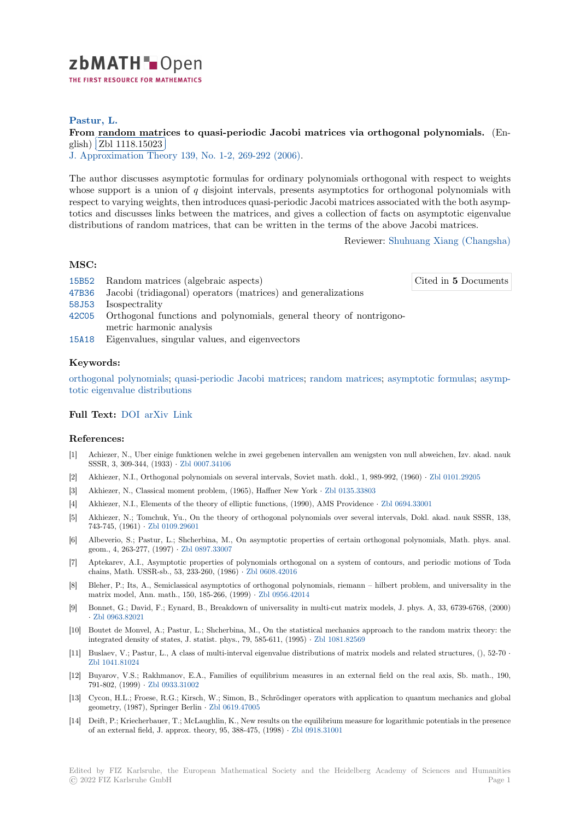

## **Pastur, L.**

# [F](https://zbmath.org/)rom random matrices to quasi-periodic Jacobi matrices via orthogonal polynomials. (En-<br>
with  $\boxed{E111111017000}$ glish) Zbl 1118.15023

**J.** Approximation Theory 139, No. 1-2, 269-292 (2006).

[The author discusses asymptotic formulas for ordinary polynomials orthogonal with respect to w](https://zbmath.org/1118.15023)eights whose [support is a unio](https://zbmath.org/1118.15023)n of *q* disjoint intervals, presents asymptotics for orthogonal polynomials with [respect to varying weights,](https://zbmath.org/journals/?q=se:476) [then introduces quasi-periodi](https://zbmath.org/?q=in:125489)c Jacobi matrices associated with the both asymptotics and discusses links between the matrices, and gives a collection of facts on asymptotic eigenvalue distributions of random matrices, that can be written in the terms of the above Jacobi matrices.

Reviewer: Shuhuang Xiang (Changsha)

## **MSC:**

15B52 Random matrices (algebraic aspects)

Cited in **5** [Documents](https://zbmath.org/authors/?q=xiang.shuhuang)

- 47B36 Jacobi (tridiagonal) operators (matrices) and generalizations
- 58J53 Isospectrality
- 42C05 Orthogonal functions and polynomials, general theory of nontrigonometric harmonic analysis
- [15A18](https://zbmath.org/classification/?q=cc:47B36) Eigenvalues, singular values, and eigenvectors

### **[Keyw](https://zbmath.org/classification/?q=cc:42C05)ords:**

orthogonal polynomials; quasi-periodic Jacobi matrices; random matrices; asymptotic formulas; asymp[totic e](https://zbmath.org/classification/?q=cc:15A18)igenvalue distributions

### **Full Text:** DOI arXiv Link

### **[References:](https://zbmath.org/?q=ut:asymptotic+eigenvalue+distributions)**

- [1] Achiezer, N., Uber einige funktionen welche in zwei gegebenen intervallen am wenigsten von null abweichen, Izv. akad. nauk SSSR, 3, [309-34](https://dx.doi.org/10.1016/j.jat.2005.09.006)[4, \(1933](https://arxiv.org/abs/math-ph/0509029)) *·* [Zbl](http://citeseerx.ist.psu.edu/viewdoc/summary?doi=10.1.1.340.7861) 0007.34106
- [2] Akhiezer, N.I., Orthogonal polynomials on several intervals, Soviet math. dokl., 1, 989-992, (1960) *·* Zbl 0101.29205
- [3] Akhiezer, N., Classical moment problem, (1965), Haffner New York *·* Zbl 0135.33803
- [4] Akhiezer, N.I., Elements of the theory of elliptic functions, (1990), AMS Providence *·* Zbl 0694.33001
- [5] Akhiezer, N.; Tomchuk, Y[u., On the theo](https://zbmath.org/0007.34106)ry of orthogonal polynomials over several intervals, Dokl. [akad. nauk SS](https://zbmath.org/0101.29205)SR, 138, 743-745, (1961) *·* Zbl 0109.29601
- [6] Albeverio, S.; Pastur, L.; Shcherbina, M., On asymptotic properties [of certain orth](https://zbmath.org/0135.33803)ogonal polynomials, Math. phys. anal. geom., 4, 263-277, (1997) *·* Zbl 0897.33007
- [7] Aptekarev, A.I., Asymptotic properties of polynomials orthogonal on a system of contours, and periodic motions of Toda chains, Math. US[SR-sb., 53, 233-](https://zbmath.org/0109.29601)260, (1986) *·* Zbl 0608.42016
- [8] Bleher, P.; Its, A., Semiclassical asymptotics of orthogonal polynomials, riemann hilbert problem, and universality in the matrix model, Ann. math., [150, 185-266, \(](https://zbmath.org/0897.33007)1999) *·* Zbl 0956.42014
- [9] Bonnet, G.; David, F.; Eynard, B., Breakdown of universality in multi-cut matrix models, J. phys. A, 33, 6739-6768, (2000) *·* Zbl 0963.82021
- [10] Boutet de Monvel, A.; Pastur, L.; Shcherbina, M., On the statistical mechanics approach to the random matrix theory: the integrated density of states, J. statist. phys., 79,5[85-611, \(1995\)](https://zbmath.org/0956.42014) *·* Zbl 1081.82569
- [11] Buslaev, V.; Pastur, L., A class of multi-interval eigenvalue distributions of matrix models and related structures, (), 52-70 *·* Z[bl 1041.81024](https://zbmath.org/0963.82021)
- [12] Buyarov, V.S.; Rakhmanov, E.A., Families of equilibrium measures in an external field on the real axis, Sb. math., 190, 791-802, (1999) *·* Zbl 0933.31002
- [13] Cycon, H.L.; Froese, R.G.; Kirsch, W.; Simon, B., Schrödinger operators with application to quantum mechanics and global [geometry, \(1987](https://zbmath.org/1041.81024)), Springer Berlin *·* Zbl 0619.47005
- [14] Deift, P.; Kriecherbauer, T.; McLaughlin, K., New results on the equilibrium measure for logarithmic potentials in the presence of an external fiel[d, J. approx. th](https://zbmath.org/0933.31002)eory, 95, 388-475, (1998) *·* Zbl 0918.31001